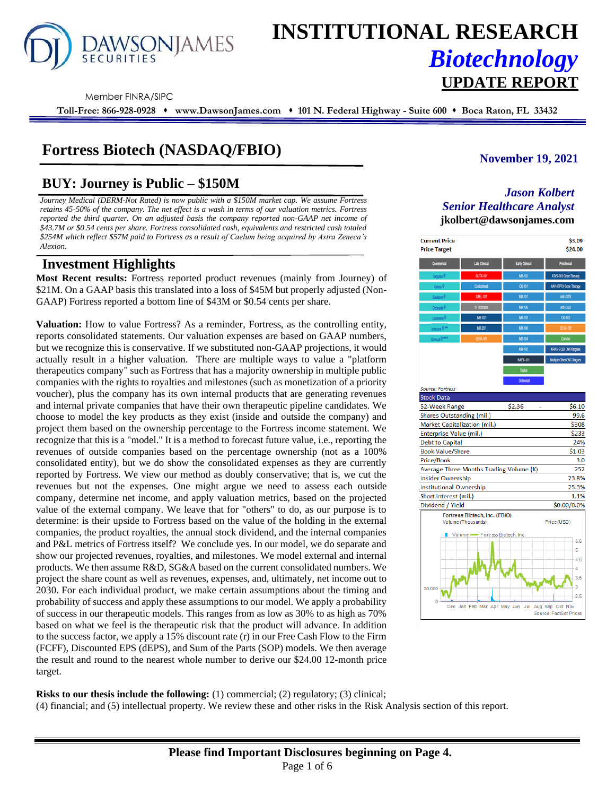

# **INSTITUTIONAL RESEARCH** *Biotechnology* **UPDATE REPORT**

Member FINRA/SIPC

**Toll-Free: 866-928-0928** ⬧ **www.DawsonJames.com** ⬧ **101 N. Federal Highway - Suite 600** ⬧ **Boca Raton, FL 33432**

# **Fortress Biotech (NASDAQ/FBIO)**

# **BUY: Journey is Public – \$150M**

*Journey Medical (DERM-Not Rated) is now public with a \$150M market cap. We assume Fortress retains 45-50% of the company. The net effect is a wash in terms of our valuation metrics. Fortress reported the third quarter. On an adjusted basis the company reported non-GAAP net income of \$43.7M or \$0.54 cents per share. Fortress consolidated cash, equivalents and restricted cash totaled \$254M which reflect \$57M paid to Fortress as a result of Caelum being acquired by Astra Zeneca's Alexion.*

# **Investment Highlights**

**Most Recent results:** Fortress reported product revenues (mainly from Journey) of \$21M. On a GAAP basis this translated into a loss of \$45M but properly adjusted (Non-GAAP) Fortress reported a bottom line of \$43M or \$0.54 cents per share.

**Valuation:** How to value Fortress? As a reminder, Fortress, as the controlling entity, reports consolidated statements. Our valuation expenses are based on GAAP numbers, but we recognize this is conservative. If we substituted non-GAAP projections, it would actually result in a higher valuation. There are multiple ways to value a "platform therapeutics company" such as Fortress that has a majority ownership in multiple public companies with the rights to royalties and milestones (such as monetization of a priority voucher), plus the company has its own internal products that are generating revenues and internal private companies that have their own therapeutic pipeline candidates. We choose to model the key products as they exist (inside and outside the company) and project them based on the ownership percentage to the Fortress income statement. We recognize that this is a "model." It is a method to forecast future value, i.e., reporting the revenues of outside companies based on the percentage ownership (not as a 100% consolidated entity), but we do show the consolidated expenses as they are currently reported by Fortress. We view our method as doubly conservative; that is, we cut the revenues but not the expenses. One might argue we need to assess each outside company, determine net income, and apply valuation metrics, based on the projected value of the external company. We leave that for "others" to do, as our purpose is to determine: is their upside to Fortress based on the value of the holding in the external companies, the product royalties, the annual stock dividend, and the internal companies and P&L metrics of Fortress itself? We conclude yes. In our model, we do separate and show our projected revenues, royalties, and milestones. We model external and internal products. We then assume R&D, SG&A based on the current consolidated numbers. We project the share count as well as revenues, expenses, and, ultimately, net income out to 2030. For each individual product, we make certain assumptions about the timing and probability of success and apply these assumptions to our model. We apply a probability of success in our therapeutic models. This ranges from as low as 30% to as high as 70% based on what we feel is the therapeutic risk that the product will advance. In addition to the success factor, we apply a 15% discount rate (r) in our Free Cash Flow to the Firm (FCFF), Discounted EPS (dEPS), and Sum of the Parts (SOP) models. We then average the result and round to the nearest whole number to derive our \$24.00 12-month price target.

# **November 19, 2021**

## *Jason Kolbert Senior Healthcare Analyst* **jkolbert@dawsonjames.com**



**Risks to our thesis include the following:** (1) commercial; (2) regulatory; (3) clinical; (4) financial; and (5) intellectual property. We review these and other risks in the Risk Analysis section of this report.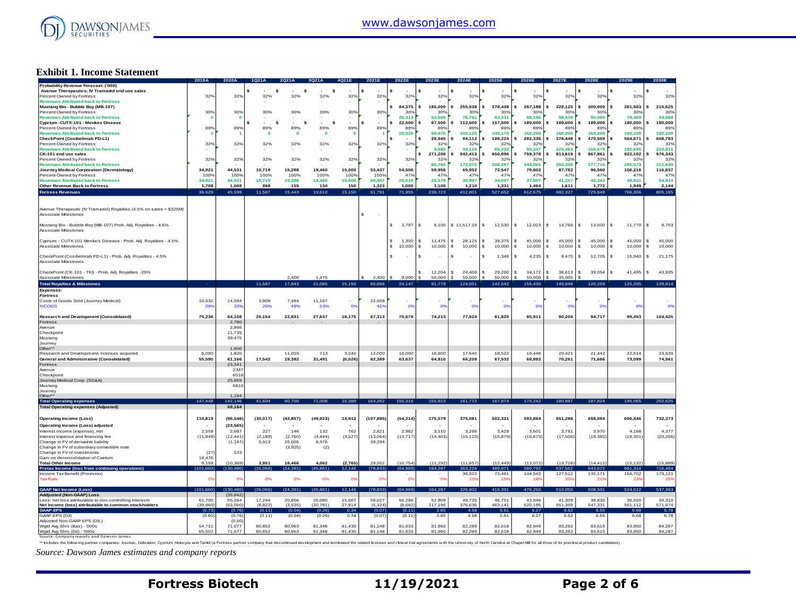

#### **Exhibit 1. Income Statement**

|                                                                     | 2019A            | 2020A                   | 1Q21/            |                  |                  |                  | 2021E            | 2022E            | 2023E            | 2024E            |                  | 2026E            | 2027E            | 2028E            | 2029E            |                          |
|---------------------------------------------------------------------|------------------|-------------------------|------------------|------------------|------------------|------------------|------------------|------------------|------------------|------------------|------------------|------------------|------------------|------------------|------------------|--------------------------|
| Probability Revenue Forecast: ('000)                                |                  |                         |                  |                  |                  |                  |                  |                  |                  |                  |                  |                  |                  |                  |                  |                          |
| Avenue Therapeutics: IV Tramadol end use sales                      |                  |                         | s                | s                | -S               |                  | \$               |                  | \$               |                  |                  |                  | s                |                  | s                |                          |
| Percent Owned by Fortress                                           | 32%              | 32%                     | 32%              | 32%              | 32%              | 32%              | 32%              | 32%              | 32%              | 32%              | 32%              | 32%              | 32%              | 32%              | 32%              | 32%                      |
| <b>Revenues Attributed back to Fortress</b>                         |                  |                         |                  |                  |                  |                  |                  | 84,375           | 180,000<br>\$    | 255,938          | 278,438          | 267,188<br>s.    | 328,125<br>s.    | 300,000          | 261,563          | 215,625<br>s             |
| Mustang Bio - Bubble Boy (MB-107)<br>Percent Owned by Fortress      | 30%              | 30%                     | 30%              | 30%              | 30%              | 30%              | 30%              | 30%              | 30%              | 30%              | 30%              | 30%              | 30%              | 30%              | 30%              | 30%                      |
| <b>Revenues Attributed back to Fortress</b>                         | O                | $\overline{\mathbf{0}}$ |                  |                  |                  |                  |                  | 25,313           | 54,000           | 76,781           | 83,531           | 80,156           | 98,438           | 90,000           | 78,469           | 64,688                   |
| Cyprium - CUTX-101 - Menkes Disease                                 |                  |                         | \$<br>- S        | s                | s                |                  | \$.              | 22,500           | 67,500<br>\$     | 112,500          | 157,500<br>s.    | 180,000<br>s.    | 180,000<br>s     | 180,000<br>s     | 180,000<br>s     | 180,000                  |
| Percent Owned by Fortress                                           | 89%              | 89%                     | 89%              | 89%              | 89%              | 89%              | 89%              | 89%              | 89%              | 89%              | 899              | 89%              | 89%              | 89%              | 89%              | 89%                      |
| <b>Revenues Attributed back to Fortress</b>                         | - 1              |                         | $\mathbf{0}$     | $\Omega$         | $\mathbf{0}$     | $\mathbf{0}$     | -1               | 20,025           | 60,075           | 100,125          | 140,175          | 160,200          | 160,200          | 160,200          | 160,200          | 160,200                  |
| CheckPoint (Cosibelimab PD-L1)                                      |                  |                         |                  |                  |                  |                  |                  |                  | \$<br>29,945     | 94,112           | 188,224          | 282,336          | 376,448          | 470,559          | s<br>564,671     | 658,783                  |
| Percent Owned by Fortress                                           | 32%              | 32%                     | 32%              | 32%              | 32%              | 32%              | 32%              | 32%              | 32%              | 32%              | 32 <sup>c</sup>  | 32%              | 32%              | 32%              | 32%              | 32%                      |
| <b>Revenues Attributed back to Fortress</b>                         |                  |                         |                  |                  |                  | ÷                |                  |                  | 9.582            | 30.116           | 60.232           | 90.347           | 120.463          | 150.579          | 180.695          | 210.811                  |
| CK-101 end use sales                                                |                  |                         |                  |                  |                  |                  |                  |                  | 271,206          | 542,413          | 650,896          | 759,378          | 813,619          | 867,861          | 922,102          | 976,343                  |
| Percent Owned by Fortress                                           | 32%              | 32%                     | 32%              | 32%              | 32%              | 32%              | 32%              | 32%              | 32%              | 32%              | 32 <sup>c</sup>  | 32%              | $32^\circ$       | 32%              | 32%              | 32%                      |
| <b>Revenues Attributed back to Fortress</b>                         |                  |                         |                  |                  |                  |                  |                  |                  | 86,786           | 173,572          | 208,287          | 243,001          | 260,358          | 277,715          | 295,073          | 312,430                  |
| Journey Medical Corporation (Dermatology)                           | 34,921           | 44,531                  | 10,719           | 15,288           | 19,460           | 15,000           | 53,437           | 54,506           | 59,956           | 65,952           | 72,547           | 79,802           | 87,782           | 96,560           | 106,216          | 116,837                  |
| Percent Owned by Fortress                                           | 100%             | 100%                    | 100%             | 100%             | 100%             | 100%             | 100%             | 47%              | 47%              | 47%              | 47 <sup>c</sup>  | 47%              | 47%              | 47%              | 47%              | 47%                      |
| <b>Revenues Attributed back to Fortress</b>                         | 34,921           | 44,531                  | 10,719           | 15,288           | 19,460           | 15,000           | 60,467           | 25,618           | 28,179           | 30,997           | 34,097           | 37,507           | 41,257           | 45,383           | 49,921           | 54,914                   |
| Other Revenue Back to Fortress                                      | 1.708            | 1.068                   | 868              | 155              | 150              | 150              | 1.323            | 1.000            | 1.100            | 1.210            | 1.331            | 1.464            | 1.611            | 1.772            | 1.949            | 2,144                    |
| <b>Fortress Revenues</b>                                            | 36,629           | 45.599                  | 11,587           | 15,443           | 19,610           | 15.150           | 61,791           | 71,955           | 239,723          | 412.801          | 527,652          | 612,675          | 682.327          | 725,649          | 766,306          | 805,185                  |
|                                                                     |                  |                         |                  |                  |                  |                  |                  |                  |                  |                  |                  |                  |                  |                  |                  |                          |
|                                                                     |                  |                         |                  |                  |                  |                  |                  |                  |                  |                  |                  |                  |                  |                  |                  |                          |
| Avenue Therapeutic (IV Tramadol) Royalties (4.5% on sales > \$325M) |                  |                         |                  |                  |                  |                  |                  |                  |                  |                  |                  |                  |                  |                  |                  |                          |
| Associate Milestones                                                |                  |                         |                  |                  |                  |                  | s.<br>$\sim$     |                  |                  |                  |                  |                  |                  |                  |                  |                          |
|                                                                     |                  |                         |                  |                  |                  |                  |                  |                  |                  |                  |                  |                  |                  |                  |                  |                          |
| Mustang Bio - Bubble Boy (MB-107) Prob. Adj. Royalties - 4.5%       |                  |                         |                  |                  |                  |                  |                  | 3,797            | s<br>8,100       | \$11,517.19      | s<br>12,530      | s.<br>12,023     | s.<br>14,766     | s<br>13,500      | s<br>11,770      | s<br>9.703               |
| Associate Milestones                                                |                  |                         |                  |                  |                  |                  |                  |                  |                  |                  |                  |                  |                  |                  |                  |                          |
|                                                                     |                  |                         |                  |                  |                  |                  |                  |                  |                  |                  |                  |                  |                  |                  |                  |                          |
| Cyprium - CUTX-101 Menke's Disease - Prob. Adj. Royalties - 4.5%    |                  |                         |                  |                  |                  |                  |                  | 1.350            | 11.475<br>s      | 28.125<br>s      | 39,375<br>s      | 45,000<br>s.     | 45,000<br>s.     | 45,000<br>s      | 45,000<br>s      | 45,000<br>s              |
| Associate Milestones                                                |                  |                         |                  |                  |                  |                  |                  | 10,000           | \$<br>10,000     | 10,000<br>s      | s<br>10,000      | s.<br>10,000     | s<br>10,000      | s<br>10,000      | s<br>10,000      | 10,000<br>s              |
|                                                                     |                  |                         |                  |                  |                  |                  |                  |                  |                  |                  |                  |                  |                  |                  |                  |                          |
| CheckPoint (Cosibelmab PD-L1) - Prob. Adj. Royalties - 4.5%         |                  |                         |                  |                  |                  |                  |                  |                  | s                |                  | s<br>1,348       | \$<br>4,235      | s<br>8,470       | s<br>12,705      | s<br>16,940      | s<br>21,175              |
| Associate Milestones                                                |                  |                         |                  |                  |                  |                  |                  |                  |                  |                  |                  |                  |                  |                  |                  |                          |
|                                                                     |                  |                         |                  |                  |                  |                  |                  |                  |                  |                  |                  |                  |                  |                  |                  |                          |
| CheckPoint (CK-101 - TKI) - Prob. Adj. Royalties -25%               |                  |                         |                  |                  |                  |                  |                  |                  | 12.204           | 24,409<br>s      | 29.290<br>s.     | \$.<br>34.172    | s<br>36,613      | s<br>39,054      | s<br>41,495      | <b>s</b><br>43,935       |
| Associate Milestones                                                |                  |                         |                  | 2,400            | 1,475            |                  | 2,400            | 9,000            | 50,000           | 50,000           | 50,000           | 50,000           | 35,000           |                  |                  |                          |
| <b>Total Royalties &amp; Milestones</b>                             | <b>.</b>         |                         | 11,587           | 17,843           | 21,085           | 15,150           | 65,666           | 24,147           | 91.779           | 124,051          | 142,542          | 155,430          | 149,849          | 120,259          | 125.205          | 129,814                  |
| Expenses:                                                           |                  |                         |                  |                  |                  |                  |                  |                  |                  |                  |                  |                  |                  |                  |                  |                          |
| <b>Fortress</b>                                                     |                  |                         |                  |                  |                  |                  |                  |                  |                  |                  |                  |                  |                  |                  |                  |                          |
| Costs of Goods Sold (Journey Medical)                               | 10,532           | 14.594                  | 3.908            | 7.484            | 11.167           | ٠                | 22.559           |                  |                  |                  |                  |                  |                  |                  |                  |                          |
| %COGS                                                               | 29               | 33%                     | 20%              | 49%              | 53%              | 0 <sup>9</sup>   | 42%              | 0%               | 0%               | 0%               | 0%               | 0%               | 0%               | 0%               | 0%               | 0%                       |
|                                                                     |                  |                         |                  |                  |                  |                  |                  |                  |                  |                  |                  |                  |                  |                  |                  |                          |
|                                                                     |                  |                         |                  |                  |                  |                  |                  |                  |                  |                  |                  |                  |                  |                  |                  |                          |
|                                                                     | 75,236           | 64.108                  | 20,154           | 22,831           |                  |                  | 67,313           | 70,679           | 74,213           | 77,924           | 81,820           | 85,911           |                  |                  |                  |                          |
| Research and Development (Consolidated)<br>Fortress                 |                  | 2,780                   |                  |                  | 27,637           | 18,175           |                  |                  |                  |                  |                  |                  | 90,206           | 94,717           | 99,453           | 104,425                  |
| Avenue                                                              |                  | 2.866                   |                  |                  |                  |                  |                  |                  |                  |                  |                  |                  |                  |                  |                  |                          |
| Checkpoin                                                           |                  | 11,735                  |                  |                  |                  |                  |                  |                  |                  |                  |                  |                  |                  |                  |                  |                          |
| Mustang                                                             |                  | 39,475                  |                  |                  |                  |                  |                  |                  |                  |                  |                  |                  |                  |                  |                  |                          |
| Journey                                                             |                  |                         |                  |                  |                  |                  |                  |                  |                  |                  |                  |                  |                  |                  |                  |                          |
| Other*                                                              |                  | 1,606                   |                  |                  |                  |                  |                  |                  |                  |                  |                  |                  |                  |                  |                  |                          |
| Research and Development- licenses acquired                         | 6.090            | 1,820                   |                  | 11.003           | 713              | 3.240            | 12,000           | 16,000           | 16.800           | 17,640           | 18.522           | 19.448           | 20.42            | 21.442           | 22.514           | 23.639                   |
| <b>General and Administrative (Consolidated)</b>                    | 55,590           | 61.166                  | 17.542           | 19,382           | 31.491           | (6,026)          | 62,389           | 63.637           | 64.910           | 66,208           | 67,532           | 68,883           | 70.261           | 71.666           | 73,099           | 74,561                   |
| Fortress                                                            |                  | 23,341                  |                  |                  |                  |                  |                  |                  |                  |                  |                  |                  |                  |                  |                  |                          |
| Avenue                                                              |                  | 2347                    |                  |                  |                  |                  |                  |                  |                  |                  |                  |                  |                  |                  |                  |                          |
| Checkpoint                                                          |                  | 651                     |                  |                  |                  |                  |                  |                  |                  |                  |                  |                  |                  |                  |                  |                          |
| Journey Medical Corp. (SG&A)                                        |                  | 25,659                  |                  |                  |                  |                  |                  |                  |                  |                  |                  |                  |                  |                  |                  |                          |
| Mustang                                                             |                  | 6810                    |                  |                  |                  |                  |                  |                  |                  |                  |                  |                  |                  |                  |                  |                          |
| Journey                                                             |                  |                         |                  |                  |                  |                  |                  |                  |                  |                  |                  |                  |                  |                  |                  |                          |
| Other*                                                              |                  | 1.184                   |                  |                  |                  |                  |                  |                  |                  |                  |                  |                  |                  |                  |                  |                          |
| <b>Total Operating expenses</b>                                     | 147,448          | 142,146                 | 41,604           | 60,700           | 71,008           | 15,389           | 164,262          | 150,316          | 155,923          | 161,772          | 167,874          | 174,242          | 180,887          | 187,824          | 195,065          | 202,625                  |
| <b>Total Operating expenses (Adjusted)</b>                          |                  | 69,164                  |                  |                  |                  |                  |                  |                  |                  |                  |                  |                  |                  |                  |                  |                          |
|                                                                     |                  |                         |                  |                  |                  |                  |                  |                  |                  |                  |                  |                  |                  |                  |                  |                          |
| <b>Operating Income (Loss)</b>                                      | 110,819          | (96, 546)               | (30, 017)        | (42, 857)        | (49, 923)        | 14,912           | (107, 885)       | (54, 214)        | 175,579          | 375,081          | 502,321          | 593,864          | 651,288          | 658,084          | 696,446          | 732,373                  |
| Operating Income (Loss) adjusted                                    |                  | (23, 565)               |                  | ۰.               |                  |                  | $\sim$           |                  |                  | $\sim$           | ٠.               |                  |                  |                  |                  | $\overline{\phantom{a}}$ |
| Interest income (expense), net                                      | 2.559            | 2.687                   | 227              | 146              | 132              | 762              | 2.821            | 2.962            | 3.110            | 3.266            | 3.429            | 3.601            | 3.78             | 3.970            | 4.168            | 4.377                    |
| Interest expense and financing fee                                  | (11, 849)        | (12, 441)               | (2, 189)         | (2,760)          | (4, 444)         | (3, 527)         | (13,064)         | (13, 717)        | (14, 403)        | (15, 123)        | (15, 879)        | (16, 673)        | (17,506)         | (18, 382)        | (19, 301)        | (20, 266)                |
| Change in FV of derivative liability                                |                  | (1, 147)                | 5,913            | 25,005           | 8,376            |                  | 39.294           |                  |                  |                  |                  |                  |                  |                  |                  |                          |
| Change in FV of subsidiary convertible note                         |                  |                         |                  | (3,925)          | (2)              |                  |                  |                  |                  |                  |                  |                  |                  |                  |                  |                          |
| Change in FV of investments                                         | (27)             | 533                     |                  |                  |                  |                  |                  |                  |                  |                  |                  |                  |                  |                  |                  |                          |
| Gain on deconsolidation of Caelum                                   | 18,476           |                         |                  |                  |                  |                  |                  |                  |                  |                  |                  |                  |                  |                  |                  |                          |
| <b>Total Other Income</b>                                           | 9,159            | (10, 369)               | 3.951            | 18,466           | 4,062            | (2,765)          | 29.052           | (10, 754)        | (11, 292)        | (11, 857)        | (12, 449)        | (13.072)         | (13.726)         | (14, 412)        | (15.132)         | (15.889)                 |
| Pretax Income (loss from continuing operations                      | (101, 660)       | 130.480                 | (26,066)         | (24, 391)        | 45.861           | 12.146           | (78.833)         | (64, 969)        | 164.287          | 363.224          | 489.871          | 580.792          | 637.562          | 643.672          | 681,314          | 716,484                  |
| Income Tax Benefit (Provision)                                      |                  |                         |                  |                  |                  |                  |                  |                  |                  | 36,322           | 73,481           | 104,543          | 127,512          | 135,171          | 156,702          | 179,121                  |
| <b>Tax Rate</b>                                                     | O <sup>9</sup>   | 0%                      | 0%               | 0%               | 0%               | 0%               | O <sup>9</sup>   | 0%               | 0%               | 10%              | 15               | 18%              | $20^{\circ}$     | 21               | 239              | 25                       |
|                                                                     |                  |                         |                  |                  |                  |                  |                  |                  |                  |                  |                  |                  |                  |                  |                  |                          |
| <b>GAAP Net Income (Loss)</b>                                       | (101.660)        | 130,480                 | (26.066)         | (24, 391)        | (45.861)         | 12,146           | (78, 833)        | (64.969          | 164,287          | 326,902          | 416,391          | 476,250          | 510,050          | 508,501          | 524,612          | 537,363                  |
| <b>Addiusted (Non-GAAP) Loss</b>                                    |                  | (35, 842)               |                  |                  |                  |                  |                  |                  |                  |                  |                  |                  |                  |                  |                  |                          |
| Less: net loss attributable to non-controlling interests            | 61,700           | 55,264                  | 17.244           | 20.856           | 25,080           | 15,667           | 58,027           | 56,286           | 52,909           | 49.735           | 46.751           | 43.946           | 41,309           | 38,830           | 36,500           | 34,310                   |
| Net Income (loss) attributable to common stockholders               | (39.960)         | (53, 560)               | (8.822)          | (3.535)          | (20, 781)        | 27.814           | (5, 324)         | (8,682)          | 217,196          | 376,636          | 463,141          | 520,195          | 551,359          | 547,331          | 561,112          | 571,674                  |
| <b>GAAP-EPS</b>                                                     | 0.73             | (0.76)                  | (0.11)           | (0.04)           | (0.26)           |                  | (0.07)           | (0.11)           | 2.65             | 4.58             | $5.6^{\circ}$    | 6.27             | 6.62             | 6.5!             | 6.68             | 6.78                     |
| GAAP-FPS (Dil)                                                      | (0.60)           | (0.76)                  | (0.11)           | (0.04)           | (0.26)           | 0.34             | (0.07)           | (0.11)           | 2.65             | 4.58             | 5.61             | 6.27             | 6.62             | 6.55             | 6.68             | 6.78                     |
| Adjusted Non-GAAP EPS (DIL)                                         |                  | (0.50)                  |                  |                  |                  |                  |                  |                  |                  |                  |                  |                  |                  |                  |                  |                          |
| Watd Ava Shrs (Bas) - '000s<br>Wgtd Avg Shrs (Dil) - '000s          | 54,711<br>65,502 | 71,077<br>71.077        | 80.852<br>80.852 | 80.963<br>80.963 | 81,348<br>81,348 | 81,430<br>81,430 | 81,148<br>81.148 | 81,633<br>81.633 | 81,960<br>81,960 | 82,289<br>82.289 | 82,618<br>82.618 | 82,949<br>82.949 | 83,282<br>83.282 | 83.615<br>83.615 | 83,950<br>83.950 | 84,287<br>84,287         |

Source: Company reports and Dawson James<br>\*\* Includes the follow ing admissioner and accept and Tamil (a Fortress partner company that discontinued development and terminated the related licenses and clinical trail and ente

*Source: Dawson James estimates and company reports*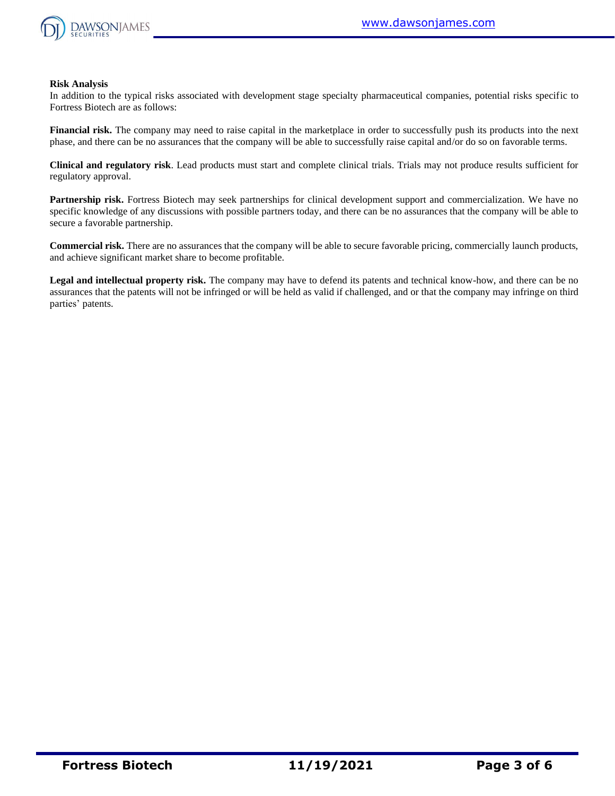

#### **Risk Analysis**

In addition to the typical risks associated with development stage specialty pharmaceutical companies, potential risks specific to Fortress Biotech are as follows:

**Financial risk.** The company may need to raise capital in the marketplace in order to successfully push its products into the next phase, and there can be no assurances that the company will be able to successfully raise capital and/or do so on favorable terms.

**Clinical and regulatory risk**. Lead products must start and complete clinical trials. Trials may not produce results sufficient for regulatory approval.

**Partnership risk.** Fortress Biotech may seek partnerships for clinical development support and commercialization. We have no specific knowledge of any discussions with possible partners today, and there can be no assurances that the company will be able to secure a favorable partnership.

**Commercial risk.** There are no assurances that the company will be able to secure favorable pricing, commercially launch products, and achieve significant market share to become profitable.

**Legal and intellectual property risk.** The company may have to defend its patents and technical know-how, and there can be no assurances that the patents will not be infringed or will be held as valid if challenged, and or that the company may infringe on third parties' patents.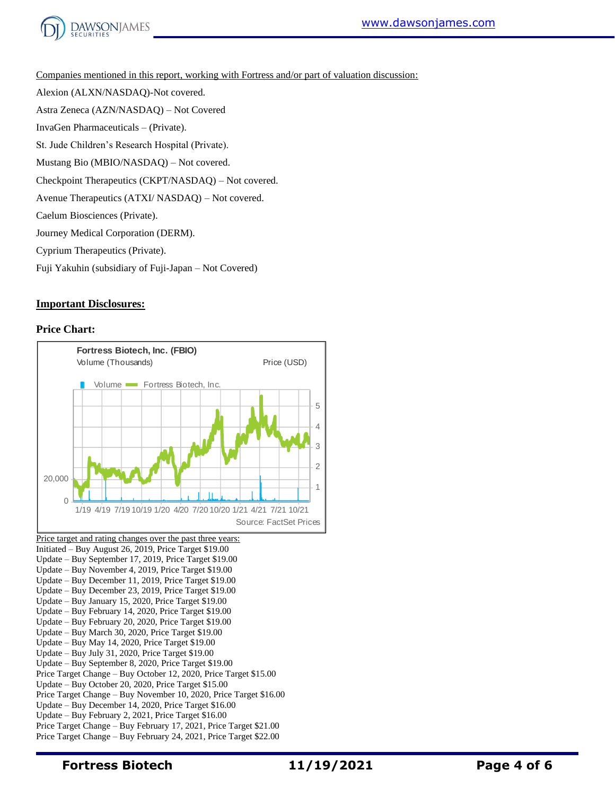

Companies mentioned in this report, working with Fortress and/or part of valuation discussion:

Alexion (ALXN/NASDAQ)-Not covered.

Astra Zeneca (AZN/NASDAQ) – Not Covered

InvaGen Pharmaceuticals – (Private).

St. Jude Children's Research Hospital (Private).

Mustang Bio (MBIO/NASDAQ) – Not covered.

Checkpoint Therapeutics (CKPT/NASDAQ) – Not covered.

Avenue Therapeutics (ATXI/ NASDAQ) – Not covered.

Caelum Biosciences (Private).

Journey Medical Corporation (DERM).

Cyprium Therapeutics (Private).

Fuji Yakuhin (subsidiary of Fuji-Japan – Not Covered)

### **Important Disclosures:**

#### **Price Chart:**



Update – Buy September 17, 2019, Price Target \$19.00 Update – Buy November 4, 2019, Price Target \$19.00 Update – Buy December 11, 2019, Price Target \$19.00 Update – Buy December 23, 2019, Price Target \$19.00 Update – Buy January 15, 2020, Price Target \$19.00 Update – Buy February 14, 2020, Price Target \$19.00 Update – Buy February 20, 2020, Price Target \$19.00 Update – Buy March 30, 2020, Price Target \$19.00 Update – Buy May 14, 2020, Price Target \$19.00 Update – Buy July 31, 2020, Price Target \$19.00 Update – Buy September 8, 2020, Price Target \$19.00 Price Target Change – Buy October 12, 2020, Price Target \$15.00 Update – Buy October 20, 2020, Price Target \$15.00 Price Target Change – Buy November 10, 2020, Price Target \$16.00 Update – Buy December 14, 2020, Price Target \$16.00 Update – Buy February 2, 2021, Price Target \$16.00 Price Target Change – Buy February 17, 2021, Price Target \$21.00 Price Target Change – Buy February 24, 2021, Price Target \$22.00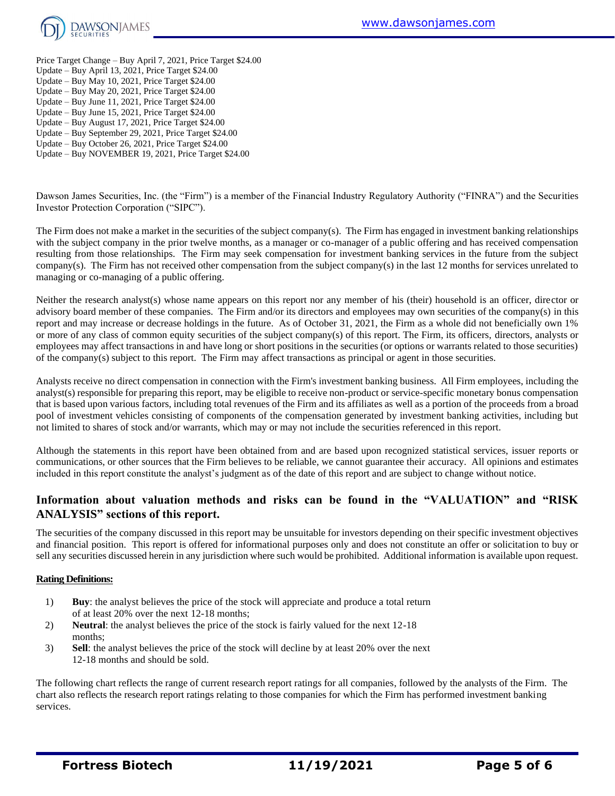

- Price Target Change Buy April 7, 2021, Price Target \$24.00 Update – Buy April 13, 2021, Price Target \$24.00 Update – Buy May 10, 2021, Price Target \$24.00 Update – Buy May 20, 2021, Price Target \$24.00 Update – Buy June 11, 2021, Price Target \$24.00 Update – Buy June 15, 2021, Price Target \$24.00 Update – Buy August 17, 2021, Price Target \$24.00 Update – Buy September 29, 2021, Price Target \$24.00
- Update Buy October 26, 2021, Price Target \$24.00
- Update Buy NOVEMBER 19, 2021, Price Target \$24.00

Dawson James Securities, Inc. (the "Firm") is a member of the Financial Industry Regulatory Authority ("FINRA") and the Securities Investor Protection Corporation ("SIPC").

The Firm does not make a market in the securities of the subject company(s). The Firm has engaged in investment banking relationships with the subject company in the prior twelve months, as a manager or co-manager of a public offering and has received compensation resulting from those relationships. The Firm may seek compensation for investment banking services in the future from the subject company(s). The Firm has not received other compensation from the subject company(s) in the last 12 months for services unrelated to managing or co-managing of a public offering.

Neither the research analyst(s) whose name appears on this report nor any member of his (their) household is an officer, director or advisory board member of these companies. The Firm and/or its directors and employees may own securities of the company(s) in this report and may increase or decrease holdings in the future. As of October 31, 2021, the Firm as a whole did not beneficially own 1% or more of any class of common equity securities of the subject company(s) of this report. The Firm, its officers, directors, analysts or employees may affect transactions in and have long or short positions in the securities (or options or warrants related to those securities) of the company(s) subject to this report. The Firm may affect transactions as principal or agent in those securities.

Analysts receive no direct compensation in connection with the Firm's investment banking business. All Firm employees, including the analyst(s) responsible for preparing this report, may be eligible to receive non-product or service-specific monetary bonus compensation that is based upon various factors, including total revenues of the Firm and its affiliates as well as a portion of the proceeds from a broad pool of investment vehicles consisting of components of the compensation generated by investment banking activities, including but not limited to shares of stock and/or warrants, which may or may not include the securities referenced in this report.

Although the statements in this report have been obtained from and are based upon recognized statistical services, issuer reports or communications, or other sources that the Firm believes to be reliable, we cannot guarantee their accuracy. All opinions and estimates included in this report constitute the analyst's judgment as of the date of this report and are subject to change without notice.

# **Information about valuation methods and risks can be found in the "VALUATION" and "RISK ANALYSIS" sections of this report.**

The securities of the company discussed in this report may be unsuitable for investors depending on their specific investment objectives and financial position. This report is offered for informational purposes only and does not constitute an offer or solicitation to buy or sell any securities discussed herein in any jurisdiction where such would be prohibited. Additional information is available upon request.

#### **Rating Definitions:**

- 1) **Buy**: the analyst believes the price of the stock will appreciate and produce a total return of at least 20% over the next 12-18 months;
- 2) **Neutral**: the analyst believes the price of the stock is fairly valued for the next 12-18 months;
- 3) **Sell**: the analyst believes the price of the stock will decline by at least 20% over the next 12-18 months and should be sold.

The following chart reflects the range of current research report ratings for all companies, followed by the analysts of the Firm. The chart also reflects the research report ratings relating to those companies for which the Firm has performed investment banking services.